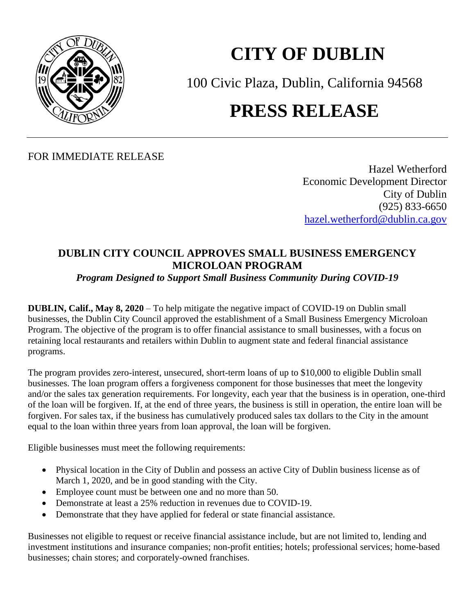

## **CITY OF DUBLIN**

100 Civic Plaza, Dublin, California 94568

## **PRESS RELEASE**

FOR IMMEDIATE RELEASE

Hazel Wetherford Economic Development Director City of Dublin (925) 833-6650 [hazel.wetherford@dublin.ca.gov](mailto:hazel.wetherford@dublin.ca.gov)

## **DUBLIN CITY COUNCIL APPROVES SMALL BUSINESS EMERGENCY MICROLOAN PROGRAM**

*Program Designed to Support Small Business Community During COVID-19*

**DUBLIN, Calif., May 8, 2020** – To help mitigate the negative impact of COVID-19 on Dublin small businesses, the Dublin City Council approved the establishment of a Small Business Emergency Microloan Program. The objective of the program is to offer financial assistance to small businesses, with a focus on retaining local restaurants and retailers within Dublin to augment state and federal financial assistance programs.

The program provides zero-interest, unsecured, short-term loans of up to \$10,000 to eligible Dublin small businesses. The loan program offers a forgiveness component for those businesses that meet the longevity and/or the sales tax generation requirements. For longevity, each year that the business is in operation, one-third of the loan will be forgiven. If, at the end of three years, the business is still in operation, the entire loan will be forgiven. For sales tax, if the business has cumulatively produced sales tax dollars to the City in the amount equal to the loan within three years from loan approval, the loan will be forgiven.

Eligible businesses must meet the following requirements:

- Physical location in the City of Dublin and possess an active City of Dublin business license as of March 1, 2020, and be in good standing with the City.
- Employee count must be between one and no more than 50.
- Demonstrate at least a 25% reduction in revenues due to COVID-19.
- Demonstrate that they have applied for federal or state financial assistance.

Businesses not eligible to request or receive financial assistance include, but are not limited to, lending and investment institutions and insurance companies; non-profit entities; hotels; professional services; home-based businesses; chain stores; and corporately-owned franchises.